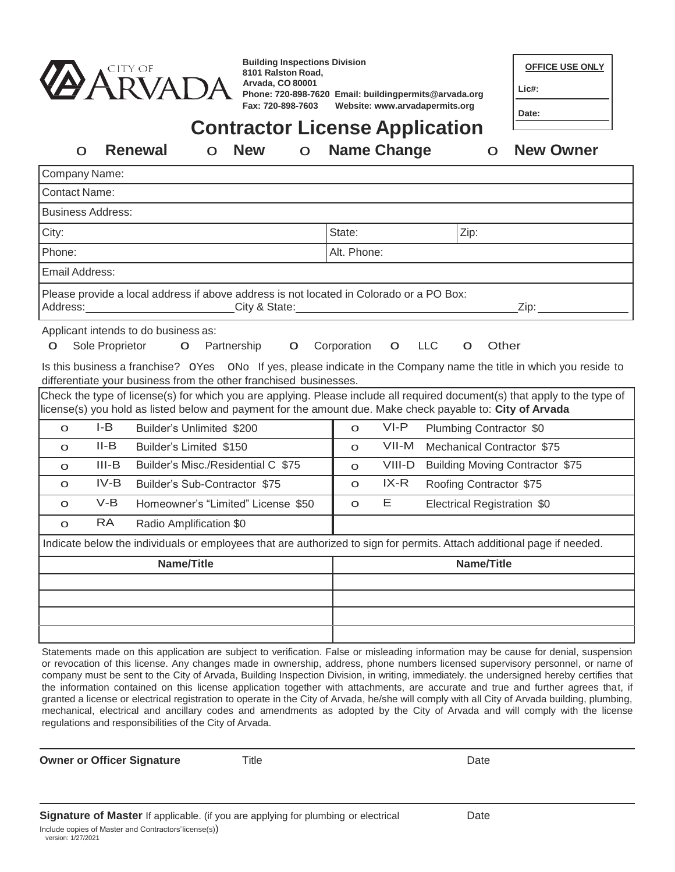

| <b>Building Inspections Division</b> |                                                         |
|--------------------------------------|---------------------------------------------------------|
| 8101 Ralston Road.                   |                                                         |
| Arvada, CO 80001                     |                                                         |
|                                      | Phone: 720-898-7620 Email: building permits @arvada.org |
| Fax: 720-898-7603                    | Website: www.arvadapermits.org                          |

| <b>OFFICE USE ONLY</b> |  |
|------------------------|--|
|                        |  |

**Lic#:** 

**Date:**

# **Contractor License Application** o **Renewal** o **New** o **Name Change** o **New Owner**

| Company Name:                                                                                                                                                                                                                                                                                                                                                                                                                                                                                                                                    |                            |                                        |
|--------------------------------------------------------------------------------------------------------------------------------------------------------------------------------------------------------------------------------------------------------------------------------------------------------------------------------------------------------------------------------------------------------------------------------------------------------------------------------------------------------------------------------------------------|----------------------------|----------------------------------------|
| <b>Contact Name:</b>                                                                                                                                                                                                                                                                                                                                                                                                                                                                                                                             |                            |                                        |
| <b>Business Address:</b>                                                                                                                                                                                                                                                                                                                                                                                                                                                                                                                         |                            |                                        |
| City:                                                                                                                                                                                                                                                                                                                                                                                                                                                                                                                                            | State:                     | Zip:                                   |
| Phone:                                                                                                                                                                                                                                                                                                                                                                                                                                                                                                                                           | Alt. Phone:                |                                        |
| Email Address:                                                                                                                                                                                                                                                                                                                                                                                                                                                                                                                                   |                            |                                        |
| Please provide a local address if above address is not located in Colorado or a PO Box:<br>Address:<br>City & State:<br><u> 1980 - Johann Barbara, martxa a</u>                                                                                                                                                                                                                                                                                                                                                                                  |                            | Zip:                                   |
| Applicant intends to do business as:<br>Sole Proprietor<br>Partnership<br>$\mathbf O$<br>$\mathbf O$<br>O<br>Is this business a franchise? OYes ONo If yes, please indicate in the Company name the title in which you reside to<br>differentiate your business from the other franchised businesses.<br>Check the type of license(s) for which you are applying. Please include all required document(s) that apply to the type of<br>license(s) you hold as listed below and payment for the amount due. Make check payable to: City of Arvada | Corporation<br>$\mathbf O$ | <b>LLC</b><br>Other<br>$\mathbf O$     |
| $I-B$<br>Builder's Unlimited \$200<br>$\circ$                                                                                                                                                                                                                                                                                                                                                                                                                                                                                                    | $VI-P$<br>$\overline{O}$   | Plumbing Contractor \$0                |
| $II-B$<br>Builder's Limited \$150<br>$\circ$                                                                                                                                                                                                                                                                                                                                                                                                                                                                                                     | $VII-M$<br>$\circ$         | Mechanical Contractor \$75             |
| $III-B$<br>Builder's Misc./Residential C \$75<br>$\circ$                                                                                                                                                                                                                                                                                                                                                                                                                                                                                         | VIII-D<br>$\circ$          | <b>Building Moving Contractor \$75</b> |
| $IV-B$<br>Builder's Sub-Contractor \$75<br>$\circ$                                                                                                                                                                                                                                                                                                                                                                                                                                                                                               | $IX-R$<br>$\circ$          | Roofing Contractor \$75                |
| $V-B$<br>Homeowner's "Limited" License \$50<br>$\circ$                                                                                                                                                                                                                                                                                                                                                                                                                                                                                           | Е<br>$\circ$               | Electrical Registration \$0            |
| <b>RA</b><br>Radio Amplification \$0<br>$\circ$                                                                                                                                                                                                                                                                                                                                                                                                                                                                                                  |                            |                                        |
| Indicate below the individuals or employees that are authorized to sign for permits. Attach additional page if needed.                                                                                                                                                                                                                                                                                                                                                                                                                           |                            |                                        |
| <b>Name/Title</b>                                                                                                                                                                                                                                                                                                                                                                                                                                                                                                                                |                            | <b>Name/Title</b>                      |
|                                                                                                                                                                                                                                                                                                                                                                                                                                                                                                                                                  |                            |                                        |
| Statements made on this application are subject to verification. False or misleading information may be cause for denial, suspensio                                                                                                                                                                                                                                                                                                                                                                                                              |                            |                                        |

Statements made on this application are subject to verification. False or misleading information may be cause for denial, suspension or revocation of this license. Any changes made in ownership, address, phone numbers licensed supervisory personnel, or name of company must be sent to the City of Arvada, Building Inspection Division, in writing, immediately. the undersigned hereby certifies that the information contained on this license application together with attachments, are accurate and true and further agrees that, if granted a license or electrical registration to operate in the City of Arvada, he/she will comply with all City of Arvada building, plumbing, mechanical, electrical and ancillary codes and amendments as adopted by the City of Arvada and will comply with the license regulations and responsibilities of the City of Arvada.

**Owner or Officer Signature** Title **Communication Communication Communication** Date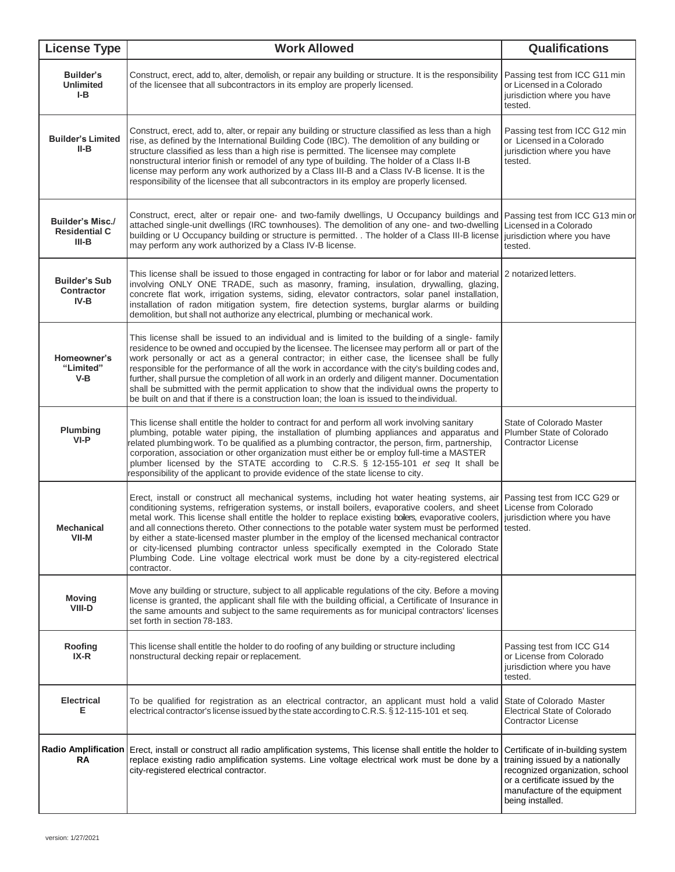| <b>License Type</b>                                                                                                                                                                                                                                                                 | <b>Work Allowed</b>                                                                                                                                                                                                                                                                                                                                                                                                                                                                                                                                                                                                                                                                                                                                                                                  | <b>Qualifications</b>                                                                                                                                                                         |  |  |  |
|-------------------------------------------------------------------------------------------------------------------------------------------------------------------------------------------------------------------------------------------------------------------------------------|------------------------------------------------------------------------------------------------------------------------------------------------------------------------------------------------------------------------------------------------------------------------------------------------------------------------------------------------------------------------------------------------------------------------------------------------------------------------------------------------------------------------------------------------------------------------------------------------------------------------------------------------------------------------------------------------------------------------------------------------------------------------------------------------------|-----------------------------------------------------------------------------------------------------------------------------------------------------------------------------------------------|--|--|--|
| Builder's<br><b>Unlimited</b><br>I-B                                                                                                                                                                                                                                                | Construct, erect, add to, alter, demolish, or repair any building or structure. It is the responsibility<br>of the licensee that all subcontractors in its employ are properly licensed.                                                                                                                                                                                                                                                                                                                                                                                                                                                                                                                                                                                                             | Passing test from ICC G11 min<br>or Licensed in a Colorado<br>jurisdiction where you have<br>tested.                                                                                          |  |  |  |
| <b>Builder's Limited</b><br>II-B                                                                                                                                                                                                                                                    | Construct, erect, add to, alter, or repair any building or structure classified as less than a high<br>rise, as defined by the International Building Code (IBC). The demolition of any building or<br>structure classified as less than a high rise is permitted. The licensee may complete<br>nonstructural interior finish or remodel of any type of building. The holder of a Class II-B<br>license may perform any work authorized by a Class III-B and a Class IV-B license. It is the<br>responsibility of the licensee that all subcontractors in its employ are properly licensed.                                                                                                                                                                                                          |                                                                                                                                                                                               |  |  |  |
| <b>Builder's Misc./</b><br><b>Residential C</b><br>$III-B$                                                                                                                                                                                                                          | Construct, erect, alter or repair one- and two-family dwellings, U Occupancy buildings and<br>attached single-unit dwellings (IRC townhouses). The demolition of any one- and two-dwelling<br>building or U Occupancy building or structure is permitted. . The holder of a Class III-B license<br>may perform any work authorized by a Class IV-B license.                                                                                                                                                                                                                                                                                                                                                                                                                                          | Passing test from ICC G13 min or<br>Licensed in a Colorado<br>jurisdiction where you have<br>tested.                                                                                          |  |  |  |
| <b>Builder's Sub</b><br><b>Contractor</b><br>IV-B                                                                                                                                                                                                                                   | This license shall be issued to those engaged in contracting for labor or for labor and material 2 notarized letters.                                                                                                                                                                                                                                                                                                                                                                                                                                                                                                                                                                                                                                                                                |                                                                                                                                                                                               |  |  |  |
| Homeowner's<br>"Limited"<br>V-B                                                                                                                                                                                                                                                     | This license shall be issued to an individual and is limited to the building of a single- family<br>residence to be owned and occupied by the licensee. The licensee may perform all or part of the<br>work personally or act as a general contractor; in either case, the licensee shall be fully<br>responsible for the performance of all the work in accordance with the city's building codes and,<br>further, shall pursue the completion of all work in an orderly and diligent manner. Documentation<br>shall be submitted with the permit application to show that the individual owns the property to<br>be built on and that if there is a construction loan; the loan is issued to the individual.                                                                                       |                                                                                                                                                                                               |  |  |  |
| Plumbing<br>VI-P                                                                                                                                                                                                                                                                    | This license shall entitle the holder to contract for and perform all work involving sanitary<br>plumbing, potable water piping, the installation of plumbing appliances and apparatus and<br>related plumbing work. To be qualified as a plumbing contractor, the person, firm, partnership,<br>corporation, association or other organization must either be or employ full-time a MASTER<br>plumber licensed by the STATE according to C.R.S. § 12-155-101 et seq It shall be<br>responsibility of the applicant to provide evidence of the state license to city.                                                                                                                                                                                                                                | State of Colorado Master<br>Plumber State of Colorado<br>Contractor License                                                                                                                   |  |  |  |
| <b>Mechanical</b><br>VII-M                                                                                                                                                                                                                                                          | Erect, install or construct all mechanical systems, including hot water heating systems, air Passing test from ICC G29 or<br>conditioning systems, refrigeration systems, or install boilers, evaporative coolers, and sheet License from Colorado<br>metal work. This license shall entitle the holder to replace existing boilers, evaporative coolers, jurisdiction where you have<br>and all connections thereto. Other connections to the potable water system must be performed tested.<br>by either a state-licensed master plumber in the employ of the licensed mechanical contractor<br>or city-licensed plumbing contractor unless specifically exempted in the Colorado State<br>Plumbing Code. Line voltage electrical work must be done by a city-registered electrical<br>contractor. |                                                                                                                                                                                               |  |  |  |
| <b>Moving</b><br>VIII-D                                                                                                                                                                                                                                                             | Move any building or structure, subject to all applicable regulations of the city. Before a moving<br>license is granted, the applicant shall file with the building official, a Certificate of Insurance in<br>the same amounts and subject to the same requirements as for municipal contractors' licenses<br>set forth in section 78-183.                                                                                                                                                                                                                                                                                                                                                                                                                                                         |                                                                                                                                                                                               |  |  |  |
| Roofing<br>IX-R                                                                                                                                                                                                                                                                     | This license shall entitle the holder to do roofing of any building or structure including<br>nonstructural decking repair or replacement.                                                                                                                                                                                                                                                                                                                                                                                                                                                                                                                                                                                                                                                           | Passing test from ICC G14<br>or License from Colorado<br>jurisdiction where you have<br>tested.                                                                                               |  |  |  |
| <b>Electrical</b><br>Е                                                                                                                                                                                                                                                              | To be qualified for registration as an electrical contractor, an applicant must hold a valid<br>electrical contractor's license issued by the state according to C.R.S. § 12-115-101 et seq.                                                                                                                                                                                                                                                                                                                                                                                                                                                                                                                                                                                                         |                                                                                                                                                                                               |  |  |  |
| <b>Radio Amplification</b><br>Erect, install or construct all radio amplification systems, This license shall entitle the holder to<br>RA<br>replace existing radio amplification systems. Line voltage electrical work must be done by a<br>city-registered electrical contractor. |                                                                                                                                                                                                                                                                                                                                                                                                                                                                                                                                                                                                                                                                                                                                                                                                      | Certificate of in-building system<br>training issued by a nationally<br>recognized organization, school<br>or a certificate issued by the<br>manufacture of the equipment<br>being installed. |  |  |  |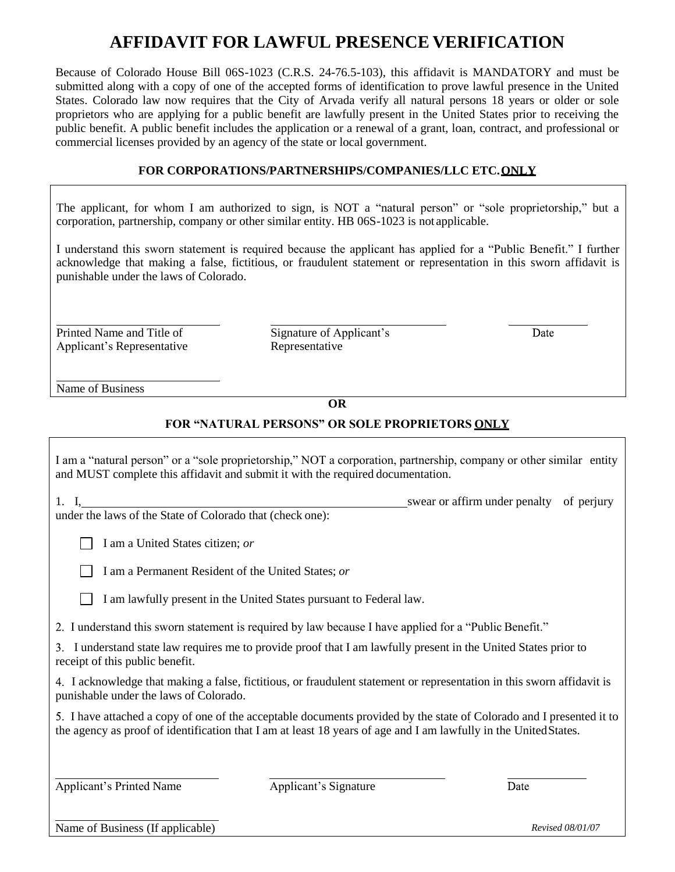## **AFFIDAVIT FOR LAWFUL PRESENCE VERIFICATION**

Because of Colorado House Bill 06S-1023 (C.R.S. 24-76.5-103), this affidavit is MANDATORY and must be submitted along with a copy of one of the accepted forms of identification to prove lawful presence in the United States. Colorado law now requires that the City of Arvada verify all natural persons 18 years or older or sole proprietors who are applying for a public benefit are lawfully present in the United States prior to receiving the public benefit. A public benefit includes the application or a renewal of a grant, loan, contract, and professional or commercial licenses provided by an agency of the state or local government.

### **FOR CORPORATIONS/PARTNERSHIPS/COMPANIES/LLC ETC.ONLY**

The applicant, for whom I am authorized to sign, is NOT a "natural person" or "sole proprietorship," but a corporation, partnership, company or other similar entity. HB 06S-1023 is not applicable.

I understand this sworn statement is required because the applicant has applied for a "Public Benefit." I further acknowledge that making a false, fictitious, or fraudulent statement or representation in this sworn affidavit is punishable under the laws of Colorado.

Printed Name and Title of Applicant's Representative Signature of Applicant's Representative

Date

Name of Business

#### **OR**

## **FOR "NATURAL PERSONS" OR SOLE PROPRIETORS ONLY**

I am a "natural person" or a "sole proprietorship," NOT a corporation, partnership, company or other similar entity and MUST complete this affidavit and submit it with the required documentation.

| 1. I                                                      | swear or affirm under penalty of perjury |  |
|-----------------------------------------------------------|------------------------------------------|--|
| under the laws of the State of Colorado that (check one): |                                          |  |

| $\Box$ I am a United States citizen; or |
|-----------------------------------------|
|                                         |

|  |  | I am a Permanent Resident of the United States; or |  |  |  |  |
|--|--|----------------------------------------------------|--|--|--|--|
|--|--|----------------------------------------------------|--|--|--|--|

I am lawfully present in the United States pursuant to Federal law.

2. I understand this sworn statement is required by law because I have applied for a "Public Benefit."

I understand state law requires me to provide proof that I am lawfully present in the United States prior to receipt of this public benefit.

I acknowledge that making a false, fictitious, or fraudulent statement or representation in this sworn affidavit is punishable under the laws of Colorado.

I have attached a copy of one of the acceptable documents provided by the state of Colorado and I presented it to the agency as proof of identification that I am at least 18 years of age and I am lawfully in the UnitedStates.

Applicant's Printed Name Applicant's Signature

Date

Name of Business (If applicable) *Revised 08/01/07*